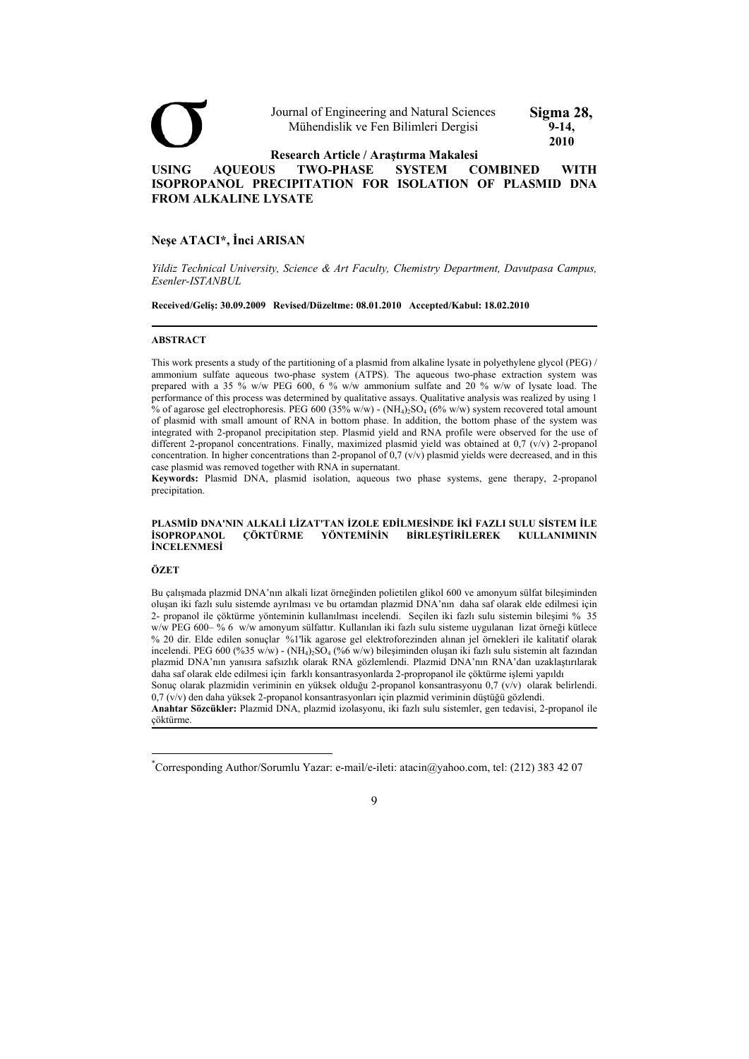

# **Neşe ATACI\*, İnci ARISAN**

*Yildiz Technical University, Science & Art Faculty, Chemistry Department, Davutpasa Campus, Esenler-ISTANBUL* 

**Received/Geliş: 30.09.2009 Revised/Düzeltme: 08.01.2010 Accepted/Kabul: 18.02.2010** 

#### **ABSTRACT**

This work presents a study of the partitioning of a plasmid from alkaline lysate in polyethylene glycol (PEG) / ammonium sulfate aqueous two-phase system (ATPS). The aqueous two-phase extraction system was prepared with a 35 % w/w PEG 600, 6 % w/w ammonium sulfate and 20 % w/w of lysate load. The performance of this process was determined by qualitative assays. Qualitative analysis was realized by using 1 % of agarose gel electrophoresis. PEG 600 (35% w/w) - (NH<sub>4</sub>):SO<sub>4</sub> (6% w/w) system recovered total amount of plasmid with small amount of RNA in bottom phase. In addition, the bottom phase of the system was integrated with 2-propanol precipitation step. Plasmid yield and RNA profile were observed for the use of different 2-propanol concentrations. Finally, maximized plasmid yield was obtained at 0,7 (v/v) 2-propanol concentration. In higher concentrations than 2-propanol of 0,7 (v/v) plasmid yields were decreased, and in this case plasmid was removed together with RNA in supernatant.

**Keywords:** Plasmid DNA, plasmid isolation, aqueous two phase systems, gene therapy, 2-propanol precipitation.

#### **PLASMİD DNA'NIN ALKALİ LİZAT'TAN İZOLE EDİLMESİNDE İKİ FAZLI SULU SİSTEM İLE İSOPROPANOL ÇÖKTÜRME YÖNTEMİNİN BİRLEŞTİRİLEREK KULLANIMININ İNCELENMESİ**

# **ÖZET**

 $\overline{a}$ 

Bu çalışmada plazmid DNA'nın alkali lizat örneğinden polietilen glikol 600 ve amonyum sülfat bileşiminden oluşan iki fazlı sulu sistemde ayrılması ve bu ortamdan plazmid DNA'nın daha saf olarak elde edilmesi için 2- propanol ile çöktürme yönteminin kullanılması incelendi. Seçilen iki fazlı sulu sistemin bileşimi % 35 w/w PEG 600– % 6 w/w amonyum sülfattır. Kullanılan iki fazlı sulu sisteme uygulanan lizat örneği kütlece % 20 dir. Elde edilen sonuçlar %1'lik agarose gel elektroforezinden alınan jel örnekleri ile kalitatif olarak incelendi. PEG 600 (%35 w/w) - (NH<sub>4)2</sub>SO<sub>4</sub> (%6 w/w) bileşiminden oluşan iki fazlı sulu sistemin alt fazından plazmid DNA'nın yanısıra safsızlık olarak RNA gözlemlendi. Plazmid DNA'nın RNA'dan uzaklaştırılarak daha saf olarak elde edilmesi için farklı konsantrasyonlarda 2-propropanol ile çöktürme işlemi yapıldı

Sonuç olarak plazmidin veriminin en yüksek olduğu 2-propanol konsantrasyonu 0,7 (v/v) olarak belirlendi. 0,7 (v/v) den daha yüksek 2-propanol konsantrasyonları için plazmid veriminin düştüğü gözlendi.

**Anahtar Sözcükler:** Plazmid DNA, plazmid izolasyonu, iki fazlı sulu sistemler, gen tedavisi, 2-propanol ile çöktürme.

<sup>\*</sup> Corresponding Author/Sorumlu Yazar: e-mail/e-ileti: atacin@yahoo.com, tel: (212) 383 42 07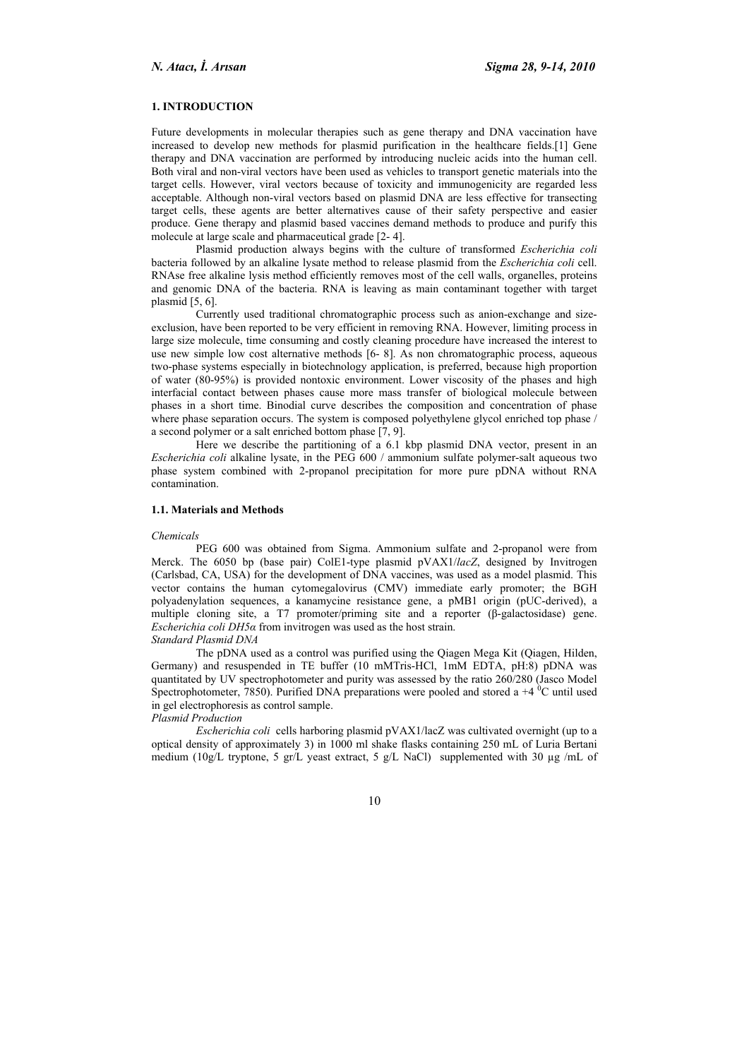## **1. INTRODUCTION**

Future developments in molecular therapies such as gene therapy and DNA vaccination have increased to develop new methods for plasmid purification in the healthcare fields.[1] Gene therapy and DNA vaccination are performed by introducing nucleic acids into the human cell. Both viral and non-viral vectors have been used as vehicles to transport genetic materials into the target cells. However, viral vectors because of toxicity and immunogenicity are regarded less acceptable. Although non-viral vectors based on plasmid DNA are less effective for transecting target cells, these agents are better alternatives cause of their safety perspective and easier produce. Gene therapy and plasmid based vaccines demand methods to produce and purify this molecule at large scale and pharmaceutical grade [2- 4].

Plasmid production always begins with the culture of transformed *Escherichia coli* bacteria followed by an alkaline lysate method to release plasmid from the *Escherichia coli* cell. RNAse free alkaline lysis method efficiently removes most of the cell walls, organelles, proteins and genomic DNA of the bacteria. RNA is leaving as main contaminant together with target plasmid [5, 6].

Currently used traditional chromatographic process such as anion-exchange and sizeexclusion, have been reported to be very efficient in removing RNA. However, limiting process in large size molecule, time consuming and costly cleaning procedure have increased the interest to use new simple low cost alternative methods [6- 8]. As non chromatographic process, aqueous two-phase systems especially in biotechnology application, is preferred, because high proportion of water (80-95%) is provided nontoxic environment. Lower viscosity of the phases and high interfacial contact between phases cause more mass transfer of biological molecule between phases in a short time. Binodial curve describes the composition and concentration of phase where phase separation occurs. The system is composed polyethylene glycol enriched top phase / a second polymer or a salt enriched bottom phase [7, 9].

Here we describe the partitioning of a 6.1 kbp plasmid DNA vector, present in an *Escherichia coli* alkaline lysate, in the PEG 600 / ammonium sulfate polymer-salt aqueous two phase system combined with 2-propanol precipitation for more pure pDNA without RNA contamination.

#### **1.1. Materials and Methods**

#### *Chemicals*

PEG 600 was obtained from Sigma. Ammonium sulfate and 2-propanol were from Merck. The 6050 bp (base pair) ColE1-type plasmid pVAX1/*lacZ*, designed by Invitrogen (Carlsbad, CA, USA) for the development of DNA vaccines, was used as a model plasmid. This vector contains the human cytomegalovirus (CMV) immediate early promoter; the BGH polyadenylation sequences, a kanamycine resistance gene, a pMB1 origin (pUC-derived), a multiple cloning site, a T7 promoter/priming site and a reporter (β-galactosidase) gene. *Escherichia coli DH5α* from invitrogen was used as the host strain.

*Standard Plasmid DNA* 

The pDNA used as a control was purified using the Qiagen Mega Kit (Qiagen, Hilden, Germany) and resuspended in TE buffer (10 mMTris-HCl, 1mM EDTA, pH:8) pDNA was quantitated by UV spectrophotometer and purity was assessed by the ratio 260/280 (Jasco Model Spectrophotometer, 7850). Purified DNA preparations were pooled and stored a  $+4$  <sup>0</sup>C until used in gel electrophoresis as control sample.

# *Plasmid Production*

*Escherichia coli* cells harboring plasmid pVAX1/lacZ was cultivated overnight (up to a optical density of approximately 3) in 1000 ml shake flasks containing 250 mL of Luria Bertani medium (10g/L tryptone, 5 gr/L yeast extract, 5 g/L NaCl) supplemented with 30 µg /mL of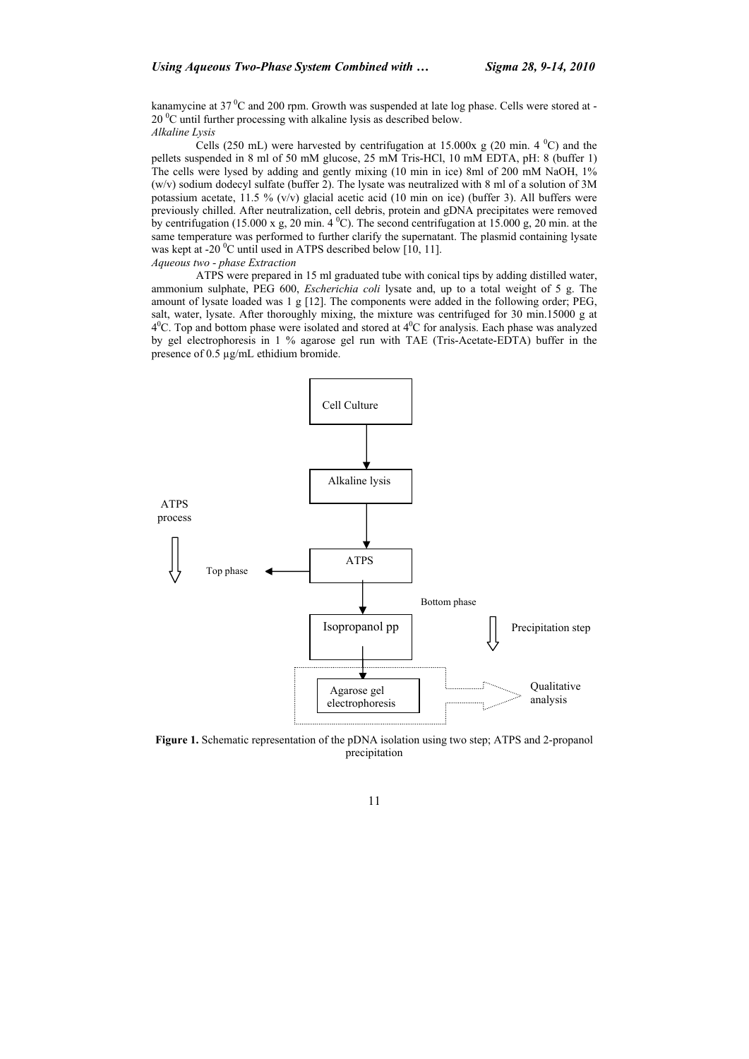kanamycine at 37<sup>°</sup>C and 200 rpm. Growth was suspended at late log phase. Cells were stored at -20 <sup>o</sup>C until further processing with alkaline lysis as described below. *Alkaline Lysis*

Cells (250 mL) were harvested by centrifugation at 15.000x g (20 min. 4  $^0C$ ) and the pellets suspended in 8 ml of 50 mM glucose, 25 mM Tris-HCl, 10 mM EDTA, pH: 8 (buffer 1) The cells were lysed by adding and gently mixing (10 min in ice) 8ml of 200 mM NaOH, 1% (w/v) sodium dodecyl sulfate (buffer 2). The lysate was neutralized with 8 ml of a solution of 3M potassium acetate, 11.5 %  $(v/v)$  glacial acetic acid (10 min on ice) (buffer 3). All buffers were previously chilled. After neutralization, cell debris, protein and gDNA precipitates were removed by centrifugation (15.000 x g, 20 min. 4  $^{\circ}$ C). The second centrifugation at 15.000 g, 20 min. at the same temperature was performed to further clarify the supernatant. The plasmid containing lysate was kept at -20  $\rm{^0C}$  until used in ATPS described below [10, 11]. *Aqueous two - phase Extraction* 

ATPS were prepared in 15 ml graduated tube with conical tips by adding distilled water, ammonium sulphate, PEG 600, *Escherichia coli* lysate and, up to a total weight of 5 g. The amount of lysate loaded was 1 g [12]. The components were added in the following order; PEG, salt, water, lysate. After thoroughly mixing, the mixture was centrifuged for 30 min.15000 g at  $4^{\circ}$ C. Top and bottom phase were isolated and stored at  $4^{\circ}$ C for analysis. Each phase was analyzed by gel electrophoresis in 1 % agarose gel run with TAE (Tris-Acetate-EDTA) buffer in the presence of 0.5 µg/mL ethidium bromide.



**Figure 1.** Schematic representation of the pDNA isolation using two step; ATPS and 2-propanol precipitation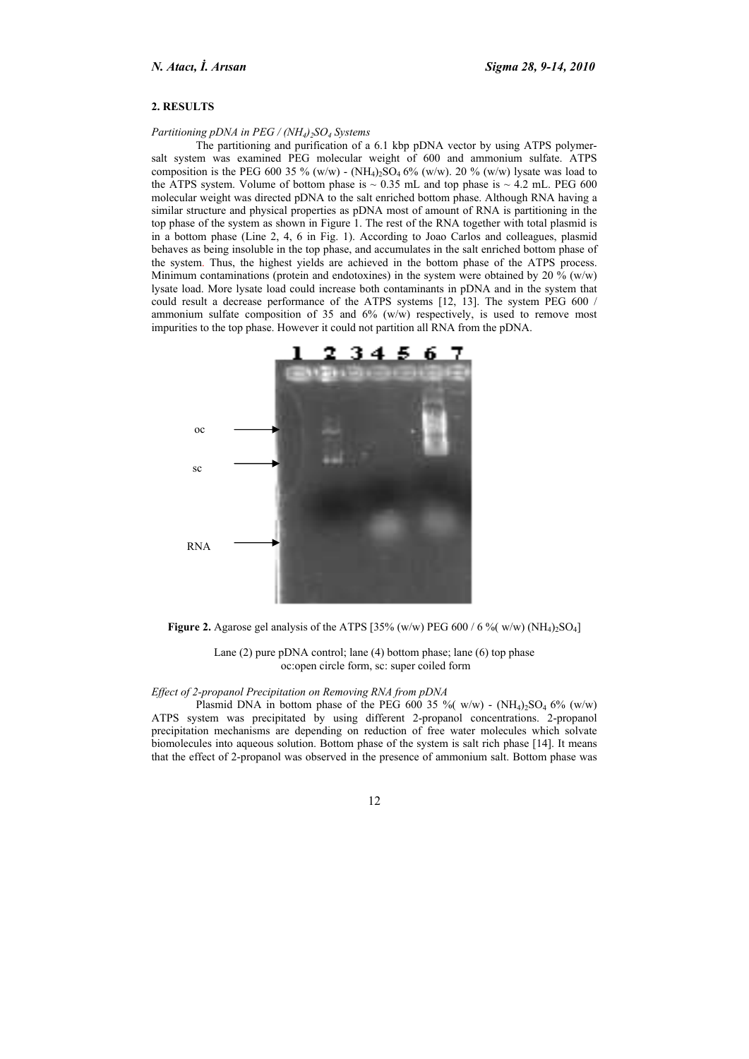# **2. RESULTS**

#### *Partitioning pDNA in PEG / (NH<sub>4</sub>)<sub>2</sub>SO<sub>4</sub> Systems</sub>*

The partitioning and purification of a 6.1 kbp pDNA vector by using ATPS polymersalt system was examined PEG molecular weight of 600 and ammonium sulfate. ATPS composition is the PEG 600 35 % (w/w) - (NH<sub>4)2</sub>SO<sub>4</sub> 6% (w/w). 20 % (w/w) lysate was load to the ATPS system. Volume of bottom phase is  $\sim 0.35$  mL and top phase is  $\sim 4.2$  mL. PEG 600 molecular weight was directed pDNA to the salt enriched bottom phase. Although RNA having a similar structure and physical properties as pDNA most of amount of RNA is partitioning in the top phase of the system as shown in Figure 1. The rest of the RNA together with total plasmid is in a bottom phase (Line 2, 4, 6 in Fig. 1). According to Joao Carlos and colleagues, plasmid behaves as being insoluble in the top phase, and accumulates in the salt enriched bottom phase of the system. Thus, the highest yields are achieved in the bottom phase of the ATPS process. Minimum contaminations (protein and endotoxines) in the system were obtained by 20 % (w/w) lysate load. More lysate load could increase both contaminants in pDNA and in the system that could result a decrease performance of the ATPS systems [12, 13]. The system PEG 600 / ammonium sulfate composition of 35 and 6% (w/w) respectively, is used to remove most impurities to the top phase. However it could not partition all RNA from the pDNA.



**Figure 2.** Agarose gel analysis of the ATPS [35% (w/w) PEG 600 / 6 % (w/w)  $(NH_4)_2SO_4$ ]

Lane (2) pure pDNA control; lane (4) bottom phase; lane (6) top phase oc:open circle form, sc: super coiled form

#### *Effect of 2-propanol Precipitation on Removing RNA from pDNA*

Plasmid DNA in bottom phase of the PEG 600 35 % (w/w) -  $(NH_4)$ <sub>2</sub>SO<sub>4</sub> 6% (w/w) ATPS system was precipitated by using different 2-propanol concentrations. 2-propanol precipitation mechanisms are depending on reduction of free water molecules which solvate biomolecules into aqueous solution. Bottom phase of the system is salt rich phase [14]. It means that the effect of 2-propanol was observed in the presence of ammonium salt. Bottom phase was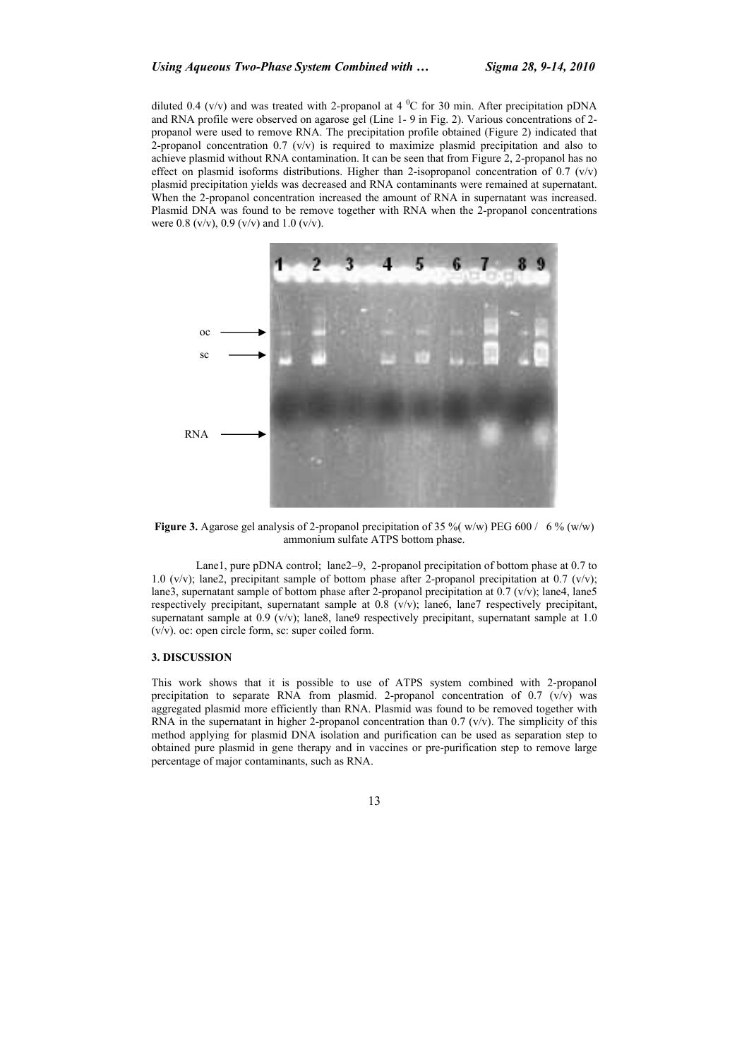diluted 0.4 (v/v) and was treated with 2-propanol at 4  $^{0}$ C for 30 min. After precipitation pDNA and RNA profile were observed on agarose gel (Line 1- 9 in Fig. 2). Various concentrations of 2 propanol were used to remove RNA. The precipitation profile obtained (Figure 2) indicated that 2-propanol concentration 0.7  $(v/v)$  is required to maximize plasmid precipitation and also to achieve plasmid without RNA contamination. It can be seen that from Figure 2, 2-propanol has no effect on plasmid isoforms distributions. Higher than 2-isopropanol concentration of 0.7 (v/v) plasmid precipitation yields was decreased and RNA contaminants were remained at supernatant. When the 2-propanol concentration increased the amount of RNA in supernatant was increased. Plasmid DNA was found to be remove together with RNA when the 2-propanol concentrations were 0.8 (v/v), 0.9 (v/v) and 1.0 (v/v).



**Figure 3.** Agarose gel analysis of 2-propanol precipitation of 35 % (w/w) PEG 600 / 6 % (w/w) ammonium sulfate ATPS bottom phase.

Lane1, pure pDNA control; lane2–9, 2-propanol precipitation of bottom phase at 0.7 to 1.0 (v/v); lane2, precipitant sample of bottom phase after 2-propanol precipitation at 0.7 (v/v); lane3, supernatant sample of bottom phase after 2-propanol precipitation at 0.7 (v/v); lane4, lane5 respectively precipitant, supernatant sample at  $0.8$  (v/v); lane6, lane7 respectively precipitant, supernatant sample at  $0.9$  (v/v); lane8, lane9 respectively precipitant, supernatant sample at 1.0 (v/v). oc: open circle form, sc: super coiled form.

## **3. DISCUSSION**

This work shows that it is possible to use of ATPS system combined with 2-propanol precipitation to separate RNA from plasmid. 2-propanol concentration of  $0.7$  (v/v) was aggregated plasmid more efficiently than RNA. Plasmid was found to be removed together with RNA in the supernatant in higher 2-propanol concentration than  $0.7$  (v/v). The simplicity of this method applying for plasmid DNA isolation and purification can be used as separation step to obtained pure plasmid in gene therapy and in vaccines or pre-purification step to remove large percentage of major contaminants, such as RNA.